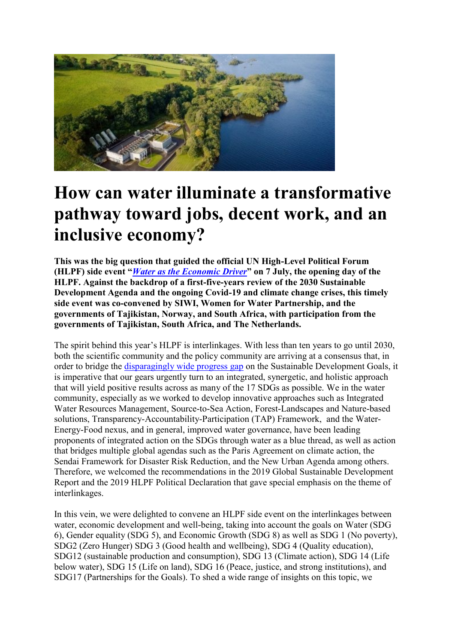

## **How can water illuminate a transformative pathway toward jobs, decent work, and an inclusive economy?**

**This was the big question that guided the official UN High-Level Political Forum (HLPF) side event "***[Water as the Economic Driver](https://sustainabledevelopment.un.org/index.php?page=view&type=20000&nr=6936&menu=2993)***" on 7 July, the opening day of the HLPF. Against the backdrop of a first-five-years review of the 2030 Sustainable Development Agenda and the ongoing Covid-19 and climate change crises, this timely side event was co-convened by SIWI, Women for Water Partnership, and the governments of Tajikistan, Norway, and South Africa, with participation from the governments of Tajikistan, South Africa, and The Netherlands.**

The spirit behind this year's HLPF is interlinkages. With less than ten years to go until 2030, both the scientific community and the policy community are arriving at a consensus that, in order to bridge the [disparagingly wide progress gap](https://unstats.un.org/sdgs/report/2020/) on the Sustainable Development Goals, it is imperative that our gears urgently turn to an integrated, synergetic, and holistic approach that will yield positive results across as many of the 17 SDGs as possible. We in the water community, especially as we worked to develop innovative approaches such as Integrated Water Resources Management, Source-to-Sea Action, Forest-Landscapes and Nature-based solutions, Transparency-Accountability-Participation (TAP) Framework, and the Water-Energy-Food nexus, and in general, improved water governance, have been leading proponents of integrated action on the SDGs through water as a blue thread, as well as action that bridges multiple global agendas such as the Paris Agreement on climate action, the Sendai Framework for Disaster Risk Reduction, and the New Urban Agenda among others. Therefore, we welcomed the recommendations in the 2019 Global Sustainable Development Report and the 2019 HLPF Political Declaration that gave special emphasis on the theme of interlinkages.

In this vein, we were delighted to convene an HLPF side event on the interlinkages between water, economic development and well-being, taking into account the goals on Water (SDG 6), Gender equality (SDG 5), and Economic Growth (SDG 8) as well as SDG 1 (No poverty), SDG2 (Zero Hunger) SDG 3 (Good health and wellbeing), SDG 4 (Quality education), SDG12 (sustainable production and consumption), SDG 13 (Climate action), SDG 14 (Life below water), SDG 15 (Life on land), SDG 16 (Peace, justice, and strong institutions), and SDG17 (Partnerships for the Goals). To shed a wide range of insights on this topic, we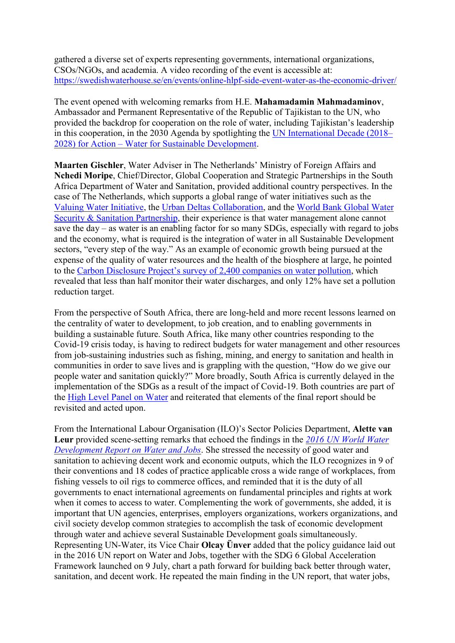gathered a diverse set of experts representing governments, international organizations, CSOs/NGOs, and academia. A video recording of the event is accessible at: <https://swedishwaterhouse.se/en/events/online-hlpf-side-event-water-as-the-economic-driver/>

The event opened with welcoming remarks from H.E. **Mahamadamin Mahmadaminov**, Ambassador and Permanent Representative of the Republic of Tajikistan to the UN, who provided the backdrop for cooperation on the role of water, including Tajikistan's leadership in this cooperation, in the 2030 Agenda by spotlighting the [UN International Decade \(2018](https://wateractiondecade.org/)– 2028) for Action – [Water for Sustainable Development.](https://wateractiondecade.org/)

**Maarten Gischler**, Water Adviser in The Netherlands' Ministry of Foreign Affairs and **Nchedi Moripe**, Chief/Director, Global Cooperation and Strategic Partnerships in the South Africa Department of Water and Sanitation, provided additional country perspectives. In the case of The Netherlands, which supports a global range of water initiatives such as the [Valuing Water Initiative,](https://www.government.nl/topics/water-management/valuing-water-initiative) the [Urban Deltas Collaboration,](https://www.government.nl/latest/news/2016/05/10/minister-schultz-launches-international-delta-coalition) and the [World Bank Global Water](https://www.worldbank.org/en/programs/global-water-security-sanitation-partnership)  [Security & Sanitation Partnership,](https://www.worldbank.org/en/programs/global-water-security-sanitation-partnership) their experience is that water management alone cannot save the day – as water is an enabling factor for so many SDGs, especially with regard to jobs and the economy, what is required is the integration of water in all Sustainable Development sectors, "every step of the way." As an example of economic growth being pursued at the expense of the quality of water resources and the health of the biosphere at large, he pointed to the Carbon Disclo[sure Project's survey of 2,400 companies on water pollution](https://www.cdp.net/en/research/global-reports/cleaning-up-their-act), which revealed that less than half monitor their water discharges, and only 12% have set a pollution reduction target.

From the perspective of South Africa, there are long-held and more recent lessons learned on the centrality of water to development, to job creation, and to enabling governments in building a sustainable future. South Africa, like many other countries responding to the Covid-19 crisis today, is having to redirect budgets for water management and other resources from job-sustaining industries such as fishing, mining, and energy to sanitation and health in communities in order to save lives and is grappling with the question, "How do we give our people water and sanitation quickly?" More broadly, South Africa is currently delayed in the implementation of the SDGs as a result of the impact of Covid-19. Both countries are part of the [High Level Panel on Water](https://www.unwater.org/high-level-panel-on-water-outcome-document) and reiterated that elements of the final report should be revisited and acted upon.

From the International Labour Organisation (ILO)'s Sector Policies Department, **Alette van Leur** provided scene-setting remarks that echoed the findings in the *[2016 UN World Water](https://www.ilo.org/global/about-the-ilo/newsroom/news/WCMS_462279/lang--en/index.htm)  [Development Report on Water and Jobs](https://www.ilo.org/global/about-the-ilo/newsroom/news/WCMS_462279/lang--en/index.htm)*. She stressed the necessity of good water and sanitation to achieving decent work and economic outputs, which the ILO recognizes in 9 of their conventions and 18 codes of practice applicable cross a wide range of workplaces, from fishing vessels to oil rigs to commerce offices, and reminded that it is the duty of all governments to enact international agreements on fundamental principles and rights at work when it comes to access to water. Complementing the work of governments, she added, it is important that UN agencies, enterprises, employers organizations, workers organizations, and civil society develop common strategies to accomplish the task of economic development through water and achieve several Sustainable Development goals simultaneously. Representing UN-Water, its Vice Chair **Olcay Ünver** added that the policy guidance laid out in the 2016 UN report on Water and Jobs, together with the SDG 6 Global Acceleration Framework launched on 9 July, chart a path forward for building back better through water, sanitation, and decent work. He repeated the main finding in the UN report, that water jobs,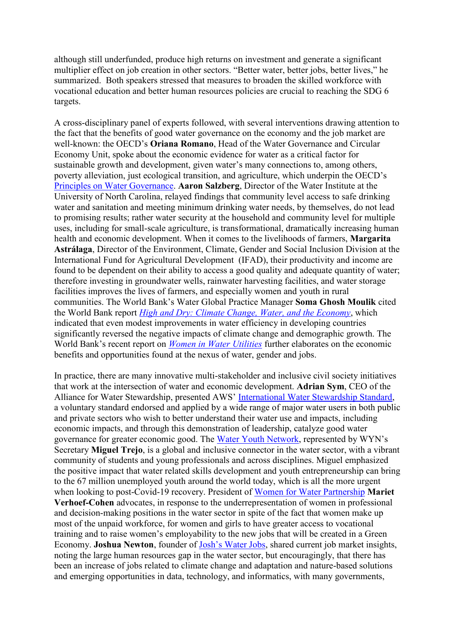although still underfunded, produce high returns on investment and generate a significant multiplier effect on job creation in other sectors. "Better water, better jobs, better lives," he summarized. Both speakers stressed that measures to broaden the skilled workforce with vocational education and better human resources policies are crucial to reaching the SDG 6 targets.

A cross-disciplinary panel of experts followed, with several interventions drawing attention to the fact that the benefits of good water governance on the economy and the job market are well-known: the OECD's **Oriana Romano**, Head of the Water Governance and Circular Economy Unit, spoke about the economic evidence for water as a critical factor for sustainable growth and development, given water's many connections to, among others, poverty alleviation, just ecological transition, and agriculture, which underpin the OECD's [Principles on Water Governance.](https://www.oecd.org/governance/oecd-principles-on-water-governance.htm) **Aaron Salzberg**, Director of the Water Institute at the University of North Carolina, relayed findings that community level access to safe drinking water and sanitation and meeting minimum drinking water needs, by themselves, do not lead to promising results; rather water security at the household and community level for multiple uses, including for small-scale agriculture, is transformational, dramatically increasing human health and economic development. When it comes to the livelihoods of farmers, **Margarita Astrálaga**, Director of the Environment, Climate, Gender and Social Inclusion Division at the International Fund for Agricultural Development (IFAD), their productivity and income are found to be dependent on their ability to access a good quality and adequate quantity of water; therefore investing in groundwater wells, rainwater harvesting facilities, and water storage facilities improves the lives of farmers, and especially women and youth in rural communities. The World Bank's Water Global Practice Manager **Soma Ghosh Moulik** cited the World Bank report *[High and Dry: Climate Change, Water, and the Economy](https://www.worldbank.org/en/topic/water/publication/high-and-dry-climate-change-water-and-the-economy)*, which indicated that even modest improvements in water efficiency in developing countries significantly reversed the negative impacts of climate change and demographic growth. The World Bank's recent report on *[Women in Water Utilities](https://www.worldbank.org/en/news/feature/2019/08/27/breaking-barriers)* further elaborates on the economic benefits and opportunities found at the nexus of water, gender and jobs.

In practice, there are many innovative multi-stakeholder and inclusive civil society initiatives that work at the intersection of water and economic development. **Adrian Sym**, CEO of the Alliance for Water Stewardship, presented AWS' [International Water Stewardship Standard,](https://a4ws.org/the-aws-standard-2-0/) a voluntary standard endorsed and applied by a wide range of major water users in both public and private sectors who wish to better understand their water use and impacts, including economic impacts, and through this demonstration of leadership, catalyze good water governance for greater economic good. The [Water Youth Network](https://www.wateryouthnetwork.org/about/), represented by WYN's Secretary **Miguel Trejo**, is a global and inclusive connector in the water sector, with a vibrant community of students and young professionals and across disciplines. Miguel emphasized the positive impact that water related skills development and youth entrepreneurship can bring to the 67 million unemployed youth around the world today, which is all the more urgent when looking to post-Covid-19 recovery. President of [Women for Water Partnership](https://www.womenforwater.org/) **Mariet Verhoef-Cohen** advocates, in response to the underrepresentation of women in professional and decision-making positions in the water sector in spite of the fact that women make up most of the unpaid workforce, for women and girls to have greater access to vocational training and to raise women's employability to the new jobs that will be created in a Green Economy. **Joshua Newton**, founder of [Josh's Water Jobs](https://www.joshswaterjobs.com/), shared current job market insights, noting the large human resources gap in the water sector, but encouragingly, that there has been an increase of jobs related to climate change and adaptation and nature-based solutions and emerging opportunities in data, technology, and informatics, with many governments,